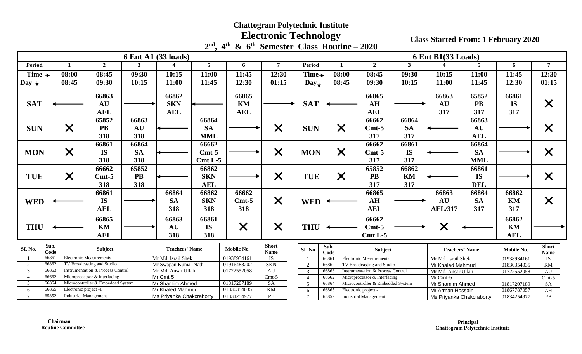# **Electronic Technology**

**2 nd , 4 th & 6 th Semester Class Routine – 2020** 

|                                                                                                                |                              |                                                                           |           | 6 Ent A1 (33 loads)                                                                                                            |                                         |                                                                               |                                                                                                                  |                                                                                     |                                          |                       |                                                                                                                                           | 6 Ent B1(33 Loads) |                                                                        |            |                                                                        |                                                                |
|----------------------------------------------------------------------------------------------------------------|------------------------------|---------------------------------------------------------------------------|-----------|--------------------------------------------------------------------------------------------------------------------------------|-----------------------------------------|-------------------------------------------------------------------------------|------------------------------------------------------------------------------------------------------------------|-------------------------------------------------------------------------------------|------------------------------------------|-----------------------|-------------------------------------------------------------------------------------------------------------------------------------------|--------------------|------------------------------------------------------------------------|------------|------------------------------------------------------------------------|----------------------------------------------------------------|
| Period                                                                                                         |                              | $\overline{2}$                                                            | 3         |                                                                                                                                | 5                                       | 6                                                                             | 7                                                                                                                | Period                                                                              | $\mathbf{1}$                             |                       | $\overline{2}$                                                                                                                            | 3                  | $\boldsymbol{\varDelta}$                                               | 5          | 6                                                                      | $\overline{7}$                                                 |
| Time $\rightarrow$                                                                                             | 08:00                        | 08:45                                                                     | 09:30     | 10:15                                                                                                                          | 11:00                                   | 11:45                                                                         | 12:30                                                                                                            | Time+                                                                               | 08:00                                    |                       | 08:45                                                                                                                                     | 09:30              | 10:15                                                                  | 11:00      | 11:45                                                                  | 12:30                                                          |
| Day $\downarrow$                                                                                               | 08:45                        | 09:30                                                                     | 10:15     | 11:00                                                                                                                          | 11:45                                   | 12:30                                                                         | 01:15                                                                                                            | $Day_{\bigstar}$                                                                    | 08:45                                    |                       | 09:30                                                                                                                                     | 10:15              | 11:00                                                                  | 11:45      | 12:30                                                                  | 01:15                                                          |
|                                                                                                                |                              |                                                                           |           |                                                                                                                                |                                         |                                                                               |                                                                                                                  |                                                                                     |                                          |                       |                                                                                                                                           |                    |                                                                        |            |                                                                        |                                                                |
|                                                                                                                |                              | 66863                                                                     |           | 66862                                                                                                                          |                                         | 66865                                                                         |                                                                                                                  |                                                                                     |                                          |                       | 66865                                                                                                                                     |                    | 66863                                                                  | 65852      | 66861                                                                  |                                                                |
| <b>SAT</b>                                                                                                     |                              | AU                                                                        |           | <b>SKN</b>                                                                                                                     |                                         | KM                                                                            |                                                                                                                  | <b>SAT</b>                                                                          |                                          |                       | AH                                                                                                                                        |                    | <b>AU</b>                                                              | <b>PB</b>  | <b>IS</b>                                                              | $\bm{\mathsf{X}}$                                              |
|                                                                                                                |                              | <b>AEL</b>                                                                |           | <b>AEL</b>                                                                                                                     |                                         | <b>AEL</b>                                                                    |                                                                                                                  |                                                                                     |                                          |                       | <b>AEL</b>                                                                                                                                |                    | 317                                                                    | 317        | 317                                                                    |                                                                |
|                                                                                                                |                              | 65852                                                                     | 66863     |                                                                                                                                | 66864                                   |                                                                               |                                                                                                                  |                                                                                     |                                          |                       | 66662                                                                                                                                     | 66864              |                                                                        | 66863      |                                                                        |                                                                |
| <b>SUN</b>                                                                                                     | $\bm{\times}$                | <b>PB</b>                                                                 | AU        |                                                                                                                                | <b>SA</b>                               |                                                                               | $\times$                                                                                                         | <b>SUN</b>                                                                          | $\times$                                 |                       | $Cmt-5$                                                                                                                                   | <b>SA</b>          |                                                                        | <b>AU</b>  |                                                                        |                                                                |
|                                                                                                                |                              | 318                                                                       | 318       |                                                                                                                                | <b>MML</b>                              |                                                                               |                                                                                                                  |                                                                                     |                                          |                       | 317                                                                                                                                       | 317                |                                                                        | <b>AEL</b> |                                                                        |                                                                |
|                                                                                                                |                              | 66861                                                                     | 66864     |                                                                                                                                | 66662                                   |                                                                               |                                                                                                                  |                                                                                     |                                          |                       | 66662                                                                                                                                     | 66861              |                                                                        | 66864      |                                                                        |                                                                |
| <b>MON</b>                                                                                                     |                              | <b>IS</b>                                                                 | <b>SA</b> |                                                                                                                                | $Cmt-5$                                 |                                                                               |                                                                                                                  | <b>MON</b>                                                                          |                                          |                       | $Cmt-5$                                                                                                                                   | <b>IS</b>          |                                                                        | <b>SA</b>  |                                                                        |                                                                |
|                                                                                                                | $\bm{\times}$                | 318                                                                       | 318       |                                                                                                                                | $Cmt L-5$                               |                                                                               | $\times$                                                                                                         |                                                                                     | $\times$                                 |                       | 317                                                                                                                                       | 317                |                                                                        | <b>MML</b> |                                                                        |                                                                |
|                                                                                                                |                              |                                                                           |           | 66862                                                                                                                          |                                         |                                                                               |                                                                                                                  |                                                                                     |                                          |                       |                                                                                                                                           |                    |                                                                        |            |                                                                        |                                                                |
|                                                                                                                |                              | 66662                                                                     | 65852     |                                                                                                                                |                                         |                                                                               |                                                                                                                  |                                                                                     |                                          |                       | 65852                                                                                                                                     | 66862              |                                                                        | 66861      |                                                                        |                                                                |
| <b>TUE</b>                                                                                                     | $\bm{\times}$                | $Cmt-5$                                                                   | <b>PB</b> |                                                                                                                                | <b>SKN</b>                              |                                                                               | $\times$                                                                                                         | <b>TUE</b>                                                                          | $\times$                                 |                       | <b>PB</b>                                                                                                                                 | KM                 |                                                                        | <b>IS</b>  |                                                                        | $\bm{\mathsf{X}}$                                              |
|                                                                                                                |                              |                                                                           |           |                                                                                                                                |                                         |                                                                               |                                                                                                                  |                                                                                     |                                          |                       |                                                                                                                                           |                    |                                                                        |            |                                                                        |                                                                |
|                                                                                                                |                              |                                                                           |           | 66864                                                                                                                          | 66862                                   |                                                                               |                                                                                                                  |                                                                                     |                                          |                       | 66865                                                                                                                                     |                    | 66863                                                                  | 66864      | 66862                                                                  |                                                                |
|                                                                                                                |                              | <b>IS</b>                                                                 |           | <b>SA</b>                                                                                                                      | <b>SKN</b>                              | $Cmt-5$                                                                       |                                                                                                                  |                                                                                     |                                          |                       | AH                                                                                                                                        |                    | <b>AU</b>                                                              | <b>SA</b>  | KM                                                                     |                                                                |
|                                                                                                                |                              | <b>AEL</b>                                                                |           | 318                                                                                                                            | 318                                     | 318                                                                           |                                                                                                                  |                                                                                     |                                          |                       | <b>AEL</b>                                                                                                                                |                    | <b>AEL/317</b>                                                         | 317        | 317                                                                    |                                                                |
|                                                                                                                |                              |                                                                           |           |                                                                                                                                |                                         |                                                                               |                                                                                                                  |                                                                                     |                                          |                       |                                                                                                                                           |                    |                                                                        |            |                                                                        |                                                                |
|                                                                                                                |                              |                                                                           |           |                                                                                                                                |                                         |                                                                               |                                                                                                                  |                                                                                     |                                          |                       |                                                                                                                                           |                    |                                                                        |            |                                                                        |                                                                |
|                                                                                                                |                              |                                                                           |           |                                                                                                                                |                                         |                                                                               |                                                                                                                  |                                                                                     |                                          |                       |                                                                                                                                           |                    |                                                                        |            |                                                                        |                                                                |
|                                                                                                                |                              |                                                                           |           |                                                                                                                                |                                         |                                                                               |                                                                                                                  |                                                                                     |                                          |                       |                                                                                                                                           |                    |                                                                        |            |                                                                        |                                                                |
| <b>SI. No.</b><br>Code                                                                                         |                              | Subject                                                                   |           | <b>Teachers' Name</b>                                                                                                          |                                         | Mobile No.                                                                    | Name                                                                                                             | SLNo                                                                                | Sub.                                     |                       | Subject                                                                                                                                   |                    | <b>Teachers' Name</b>                                                  |            | Mobile No.                                                             | <b>Short</b>                                                   |
| 66861                                                                                                          |                              | <b>Electronic Measurements</b>                                            |           | Mr Md. Israil Shek                                                                                                             |                                         | 01938934161                                                                   | IS                                                                                                               |                                                                                     | 66861                                    |                       | <b>Electronic Measurements</b>                                                                                                            |                    | Mr Md. Israil Shek                                                     |            | 01938934161                                                            | <b>IS</b>                                                      |
| 2<br>66862                                                                                                     |                              | TV Broadcasting and Studio                                                |           | Mr Swapan Kumar Nath                                                                                                           |                                         | 01916488202                                                                   |                                                                                                                  | $\overline{2}$                                                                      | 66862                                    |                       | TV Broadcasting and Studio                                                                                                                |                    | Mr Khaled Mahmud                                                       |            | 01830354035                                                            | <b>KM</b>                                                      |
|                                                                                                                |                              | Instrumentation & Process Control                                         |           |                                                                                                                                |                                         |                                                                               |                                                                                                                  | 3                                                                                   | 66863                                    |                       | Instrumentation & Process Control                                                                                                         |                    | Mr Md. Ansar Ullah                                                     |            | 01722552058                                                            |                                                                |
|                                                                                                                | Microprocessor & Interfacing |                                                                           |           |                                                                                                                                |                                         |                                                                               |                                                                                                                  |                                                                                     |                                          |                       |                                                                                                                                           |                    |                                                                        |            |                                                                        | $Cmt-5$                                                        |
|                                                                                                                |                              | Microcontroller & Embedded System<br>Electronic project -1                |           |                                                                                                                                |                                         |                                                                               |                                                                                                                  |                                                                                     |                                          |                       |                                                                                                                                           |                    | Mr Shamim Ahmed                                                        |            |                                                                        |                                                                |
| $\overline{7}$                                                                                                 |                              |                                                                           |           |                                                                                                                                |                                         |                                                                               |                                                                                                                  |                                                                                     |                                          |                       |                                                                                                                                           |                    |                                                                        |            |                                                                        |                                                                |
| <b>WED</b><br><b>THU</b><br>Sub.<br>3<br>66863<br>66662<br>$\overline{4}$<br>66864<br>5<br>66865<br>6<br>65852 |                              | 318<br>66861<br>66865<br>KM<br><b>AEL</b><br><b>Industrial Management</b> | 318       | 66863<br><b>AU</b><br>318<br>Mr Md. Ansar Ullah<br>Mr Cmt-5<br>Mr Shamim Ahmed<br>Mr Khaled Mahmud<br>Ms Priyanka Chakcraborty | <b>AEL</b><br>66861<br><b>IS</b><br>318 | 66662<br>$\times$<br>01722552058<br>01817207189<br>01830354035<br>01834254977 | $\times$<br>$\times$<br><b>Short</b><br><b>SKN</b><br><b>AU</b><br>$Cmt-5$<br>$\overline{SA}$<br>KM<br>$\rm{PB}$ | <b>WED</b><br><b>THU</b><br>$\overline{4}$<br>$\overline{5}$<br>6<br>$\overline{7}$ | Code<br>66662<br>66864<br>66865<br>65852 | Electronic project -1 | 317<br>66662<br>$Cmt-5$<br>$Cmt L-5$<br>Microprocessor & Interfacing<br>Microcontroller & Embedded System<br><b>Industrial Management</b> | 317                | $\times$<br>$Mr$ Cmt-5<br>Mr Arman Hossain<br>Ms Priyanka Chakcraborty | <b>DEL</b> | 66862<br>KM<br><b>AEL</b><br>01817207189<br>01867787057<br>01834254977 | <b>Name</b><br>$\mathbf{A}\mathbf{U}$<br><b>SA</b><br>AH<br>PB |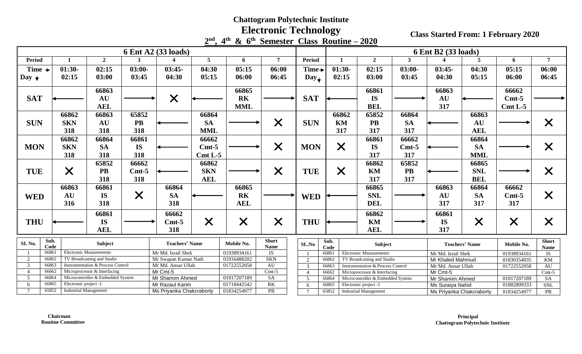#### **Electronic Technology**

|                                         |                                                                                       |                                   |           |                                                            |                 | $2nd$ , $4th$ & 6 <sup>th</sup> Semester Class Routine – 2020 |                |                            |                                     |                                                            |                |                                     |                    |                       |             |                   |
|-----------------------------------------|---------------------------------------------------------------------------------------|-----------------------------------|-----------|------------------------------------------------------------|-----------------|---------------------------------------------------------------|----------------|----------------------------|-------------------------------------|------------------------------------------------------------|----------------|-------------------------------------|--------------------|-----------------------|-------------|-------------------|
|                                         |                                                                                       |                                   |           | 6 Ent A2 (33 loads)                                        |                 |                                                               |                |                            |                                     |                                                            |                | 6 Ent B2 (33 loads)                 |                    |                       |             |                   |
| <b>Period</b>                           | $\mathbf{1}$                                                                          | $\overline{2}$                    | 3         |                                                            | 5               | 6                                                             | $\overline{7}$ | Period                     | $\mathbf{1}$                        |                                                            | $\overline{2}$ | $\mathbf{3}$                        | Δ                  | 5                     | 6           | $\overline{7}$    |
| Time $\rightarrow$                      | $01:30-$                                                                              | 02:15                             | $03:00-$  | $03:45-$                                                   | 04:30           | 05:15                                                         | 06:00          | Time→                      | $01:30-$                            |                                                            | 02:15          | $03:00-$                            | $03:45-$           | 04:30                 | 05:15       | 06:00             |
| Day $\star$                             | 02:15                                                                                 | 03:00                             | 03:45     | 04:30                                                      | 05:15           | 06:00                                                         | 06:45          | $Day_{\blacktriangledown}$ | 02:15                               |                                                            | 03:00          | 03:45                               | 04:30              | 05:15                 | 06:00       | 06:45             |
|                                         |                                                                                       |                                   |           |                                                            |                 |                                                               |                |                            |                                     |                                                            |                |                                     |                    |                       |             |                   |
|                                         |                                                                                       | 66863                             |           |                                                            |                 | 66865                                                         |                |                            |                                     |                                                            | 66861          |                                     | 66863              |                       | 66662       |                   |
| <b>SAT</b>                              |                                                                                       | AU                                |           | $\times$                                                   |                 | <b>RK</b>                                                     |                | <b>SAT</b>                 |                                     |                                                            | <b>IS</b>      |                                     | <b>AU</b>          |                       | $Cmt-5$     |                   |
|                                         |                                                                                       | <b>AEL</b>                        |           |                                                            |                 | <b>MML</b>                                                    |                |                            |                                     |                                                            | <b>BEL</b>     |                                     | 317                |                       | $Cmt L-5$   |                   |
|                                         | 66862                                                                                 | 66863                             | 65852     |                                                            | 66864           |                                                               |                |                            | 66862                               |                                                            | 65852          | 66864                               |                    | 66863                 |             |                   |
| <b>SUN</b>                              | <b>SKN</b>                                                                            | AU                                | <b>PB</b> |                                                            | <b>SA</b>       |                                                               | $\times$       | <b>SUN</b>                 | KM                                  |                                                            | <b>PB</b>      | <b>SA</b>                           |                    | <b>AU</b>             |             | X                 |
|                                         | 318                                                                                   | 318                               | 318       |                                                            | <b>MML</b>      |                                                               |                |                            | 317                                 |                                                            | 317            | 317                                 |                    | <b>AEL</b>            |             |                   |
|                                         | 66862                                                                                 | 66864                             | 66861     |                                                            | 66662           |                                                               |                |                            |                                     |                                                            | 66861          | 66662                               |                    | 66864                 |             |                   |
| <b>MON</b>                              | <b>SKN</b>                                                                            | <b>SA</b>                         | <b>IS</b> |                                                            | $Cmt-5$         |                                                               | $\times$       | <b>MON</b>                 | $\times$                            |                                                            | <b>IS</b>      | $Cmt-5$                             |                    | <b>SA</b>             |             | $\bm{\mathsf{X}}$ |
|                                         | 318                                                                                   | 318                               | 318       |                                                            | $Cmt L-5$       |                                                               |                |                            |                                     |                                                            | 317            | 317                                 |                    | <b>MML</b>            |             |                   |
|                                         |                                                                                       | 65852                             | 66662     |                                                            | 66862           |                                                               |                |                            |                                     |                                                            | 66862          | 65852                               |                    | 66865                 |             |                   |
|                                         |                                                                                       | <b>PB</b>                         |           |                                                            | <b>SKN</b>      |                                                               |                |                            |                                     |                                                            |                | <b>PB</b>                           |                    |                       |             |                   |
| <b>TUE</b>                              | $\bm{\times}$                                                                         |                                   | $Cmt-5$   |                                                            |                 |                                                               | $\times$       | <b>TUE</b>                 | $\times$                            |                                                            | KM             |                                     |                    | <b>SNL</b>            |             | $\bm{\mathsf{X}}$ |
|                                         |                                                                                       | 318                               | 318       |                                                            | <b>AEL</b>      |                                                               |                |                            |                                     |                                                            | 317            | 317                                 |                    | <b>BEL</b>            |             |                   |
|                                         | 66863                                                                                 | 66861                             |           | 66864                                                      |                 | 66865                                                         |                |                            |                                     |                                                            | 66865          |                                     | 66863              | 66864                 | 66662       |                   |
| <b>WED</b>                              | <b>AU</b>                                                                             | <b>IS</b>                         | $\times$  | <b>SA</b>                                                  |                 | <b>RK</b>                                                     |                | <b>WED</b>                 |                                     |                                                            | <b>SNL</b>     |                                     | AU                 | <b>SA</b>             | $Cmt-5$     | $\times$          |
|                                         | 316                                                                                   | 318                               |           | 318                                                        |                 | <b>AEL</b>                                                    |                |                            |                                     |                                                            | <b>DEL</b>     |                                     | 317                | 317                   | 317         |                   |
|                                         |                                                                                       | 66861                             |           | 66662                                                      |                 |                                                               |                |                            |                                     |                                                            | 66862          |                                     | 66861              |                       |             |                   |
| <b>THU</b>                              |                                                                                       | <b>IS</b>                         |           | $Cmt-5$                                                    | $\times$        | $\times$                                                      | $\times$       | <b>THU</b>                 |                                     |                                                            | KM             |                                     | <b>IS</b>          | $\times$              | $\times$    | X                 |
|                                         |                                                                                       | <b>AEL</b>                        |           | 318                                                        |                 |                                                               |                |                            |                                     |                                                            | <b>AEL</b>     |                                     | 317                |                       |             |                   |
|                                         |                                                                                       |                                   |           |                                                            |                 |                                                               | <b>Short</b>   |                            |                                     |                                                            |                |                                     |                    |                       |             | <b>Short</b>      |
|                                         | Sub.<br>SI. No.<br>Subject<br>Code                                                    |                                   |           | <b>Teachers' Name</b>                                      |                 | Mobile No.                                                    | <b>Name</b>    | SL.No                      | Sub.<br>Code                        |                                                            | Subject        |                                     |                    | <b>Teachers' Name</b> | Mobile No.  | <b>Name</b>       |
| 66861<br><b>Electronic Measurements</b> |                                                                                       |                                   |           | Mr Md. Israil Shek                                         |                 | 01938934161                                                   | <b>IS</b>      |                            | 66861                               | <b>Electronic Measurements</b>                             |                |                                     | Mr Md. Israil Shek |                       | 01938934161 | IS                |
| 66862<br>TV Broadcasting and Studio     |                                                                                       |                                   |           | Mr Swapan Kumar Nath                                       |                 | 01916488202                                                   | <b>SKN</b>     | 2                          | 66862<br>TV Broadcasting and Studio |                                                            |                |                                     | Mr Khaled Mahmud   |                       | 01830354035 | KM                |
| 3                                       | 66863<br>66662                                                                        | Instrumentation & Process Control |           | Mr Md. Ansar Ullah                                         |                 | 01722552058                                                   | <b>AU</b>      | 3                          | 66863                               | Instrumentation & Process Control                          |                |                                     | Mr Md. Ansar Ullah |                       | 01722552058 | AU                |
|                                         |                                                                                       | Microprocessor & Interfacing      |           | Mr Cmt-5                                                   |                 | 01817207189                                                   | $Cmt-5$<br>SA  | $\overline{4}$<br>5        | 66662<br>66864                      | Microprocessor & Interfacing                               |                |                                     | Mr Cmt-5           |                       |             | $Cmt-5$           |
| 6                                       | Microcontroller & Embedded System<br>66864<br>$\overline{5}$<br>Electronic project -1 |                                   |           |                                                            | Mr Shamim Ahmed |                                                               |                |                            |                                     | Microcontroller & Embedded System<br>Electronic project -1 |                | Mr Shamim Ahmed<br>Ms Suraiya Nahid |                    | 01817207189           | SA          |                   |
|                                         | 66865                                                                                 |                                   |           | Mr Razaul Karim<br>01834254977<br>Ms Priyanka Chakcraborty |                 | 01718442542                                                   | RK             | 6                          | 66865                               |                                                            |                |                                     |                    |                       | 01882809333 | <b>SNL</b>        |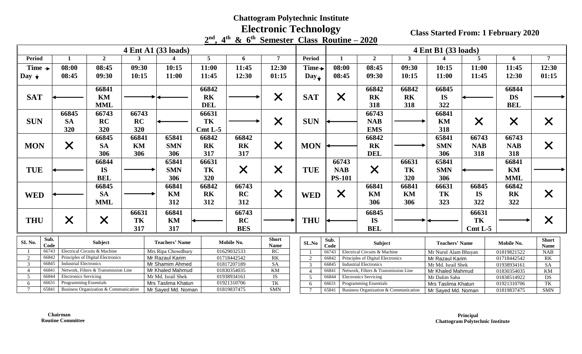# **Electronic Technology**

|                    |                                                                             |                               |                                       |                       |     |                                     |            |                            | $2nd$ , 4 <sup>th</sup> & 6 <sup>th</sup> Semester Class Routine – 2020 |                                  |                |                                                                      |              |                                   |             |                            |                       |
|--------------------|-----------------------------------------------------------------------------|-------------------------------|---------------------------------------|-----------------------|-----|-------------------------------------|------------|----------------------------|-------------------------------------------------------------------------|----------------------------------|----------------|----------------------------------------------------------------------|--------------|-----------------------------------|-------------|----------------------------|-----------------------|
|                    |                                                                             |                               |                                       |                       |     | 4 Ent A1 (33 loads)                 |            |                            |                                                                         |                                  |                |                                                                      |              | 4 Ent B1 (33 loads)               |             |                            |                       |
| <b>Period</b>      |                                                                             | $\mathbf{1}$                  | $\overline{2}$                        | 3                     |     |                                     | 5          | 6                          | $\overline{7}$                                                          | <b>Period</b>                    | $\mathbf{1}$   | $\overline{2}$                                                       | $\mathbf{3}$ |                                   | 5           | 6                          | $7\overline{ }$       |
| Time $\rightarrow$ |                                                                             | 08:00                         | 08:45                                 | 09:30                 |     | 10:15                               | 11:00      | 11:45                      | 12:30                                                                   | Time→                            | 08:00          | 08:45                                                                | 09:30        | 10:15                             | 11:00       | 11:45                      | 12:30                 |
| $\log_{1}$         |                                                                             | 08:45                         | 09:30                                 | 10:15                 |     | 11:00                               | 11:45      | 12:30                      | 01:15                                                                   | $Day_{\bigstar}$                 | 08:45          | 09:30                                                                | 10:15        | 11:00                             | 11:45       | 12:30                      | 01:15                 |
|                    |                                                                             |                               |                                       |                       |     |                                     |            |                            |                                                                         |                                  |                |                                                                      |              |                                   |             |                            |                       |
|                    |                                                                             |                               | 66841                                 |                       |     |                                     | 66842      |                            |                                                                         |                                  |                | 66842                                                                | 66842        | 66845                             |             | 66844                      |                       |
| <b>SAT</b>         |                                                                             |                               | KM                                    |                       |     |                                     | <b>RK</b>  |                            | $\times$                                                                | <b>SAT</b>                       | $\times$       | <b>RK</b>                                                            | <b>RK</b>    | <b>IS</b>                         |             | <b>DS</b>                  |                       |
|                    |                                                                             |                               | <b>MML</b>                            |                       |     |                                     | <b>DEL</b> |                            |                                                                         |                                  |                | 318                                                                  | 318          | 322                               |             | <b>BEL</b>                 |                       |
|                    |                                                                             | 66845                         | 66743                                 | 66743                 |     |                                     | 66631      |                            |                                                                         |                                  |                | 66743                                                                |              | 66841                             |             |                            |                       |
| <b>SUN</b>         |                                                                             | <b>SA</b>                     | <b>RC</b>                             | <b>RC</b>             |     |                                     | TK         |                            | $\times$                                                                | <b>SUN</b>                       |                | <b>NAB</b>                                                           |              | <b>KM</b>                         | $\times$    | $\times$                   | $\bm{\mathsf{X}}$     |
|                    |                                                                             | 320                           | 320                                   | 320                   |     |                                     | $Cmt L-5$  |                            |                                                                         |                                  |                | <b>EMS</b>                                                           |              | 318                               |             |                            |                       |
|                    |                                                                             |                               | 66845                                 | 66841                 |     | 65841                               | 66842      | 66842                      |                                                                         |                                  |                | 66842                                                                |              | 65841                             | 66743       | 66743                      |                       |
| <b>MON</b>         |                                                                             | $\times$                      | <b>SA</b>                             | KM                    |     | <b>SMN</b>                          | <b>RK</b>  | <b>RK</b>                  | $\times$                                                                | <b>MON</b>                       |                | <b>RK</b>                                                            |              | <b>SMN</b>                        | <b>NAB</b>  | <b>NAB</b>                 | X                     |
|                    |                                                                             |                               | 306                                   | 306                   |     | 306                                 | 317        | 317                        |                                                                         |                                  |                | <b>DEL</b>                                                           |              | 306                               | 318         | 318                        |                       |
|                    |                                                                             |                               | 66844                                 |                       |     | 65841                               | 66631      |                            |                                                                         |                                  | 66743          |                                                                      | 66631        | 65841                             |             | 66841                      |                       |
| <b>TUE</b>         |                                                                             |                               | <b>IS</b>                             |                       |     | <b>SMN</b>                          | TK         |                            |                                                                         | <b>TUE</b>                       | <b>NAB</b>     |                                                                      | TK           | <b>SMN</b>                        |             | KM                         |                       |
|                    |                                                                             |                               | <b>BEL</b>                            |                       |     | 306                                 | 320        | $\times$                   | $\times$                                                                |                                  | <b>PS-101</b>  | $\times$                                                             | 320          | 306                               |             | <b>MML</b>                 |                       |
|                    |                                                                             |                               |                                       |                       |     |                                     |            |                            |                                                                         |                                  |                |                                                                      |              |                                   |             |                            |                       |
|                    |                                                                             |                               | 66845                                 |                       |     | 66841<br>66842                      |            | 66743                      |                                                                         |                                  |                | 66841                                                                | 66841        | 66631                             | 66845       | 66842                      |                       |
| <b>WED</b>         |                                                                             |                               | <b>SA</b>                             |                       |     | KM                                  | <b>RK</b>  | <b>RC</b>                  | $\times$                                                                | <b>WED</b>                       | $\times$       | KM                                                                   | KM           | TK                                | <b>IS</b>   | R <sub>K</sub>             | $\bm{\mathsf{X}}$     |
|                    |                                                                             |                               | <b>MML</b>                            |                       | 312 |                                     | 312        | 312                        |                                                                         |                                  |                | 306                                                                  | 306          | 323                               | 322         | 322                        |                       |
|                    |                                                                             |                               |                                       | 66631                 |     | 66841                               |            | 66743                      |                                                                         |                                  |                | 66845                                                                |              |                                   | 66631       |                            |                       |
| <b>THU</b>         |                                                                             | $\times$                      | $\times$                              | TK                    |     | KM                                  |            | RC                         |                                                                         | <b>THU</b>                       |                | <b>IS</b>                                                            |              |                                   | TK          |                            | $\times$              |
|                    |                                                                             |                               |                                       | 317                   |     | 317                                 |            | <b>BES</b>                 |                                                                         |                                  |                | <b>BEL</b>                                                           |              |                                   | Cmt L-5     |                            |                       |
|                    | Sub.                                                                        |                               |                                       |                       |     |                                     |            |                            | <b>Short</b>                                                            |                                  | Sub.           |                                                                      |              |                                   |             |                            | <b>Short</b>          |
| SI. No.            | Code                                                                        | Subject                       |                                       | <b>Teachers' Name</b> |     | Mobile No.                          | Name       | SL.No                      | Code                                                                    | Subject                          |                | <b>Teachers' Name</b>                                                |              | Mobile No.                        | <b>Name</b> |                            |                       |
|                    | 66743                                                                       |                               | Electrical Circuits & Machine         |                       |     | Mrs Ripa Chowdhury                  |            | 01629032533                | RC                                                                      |                                  | 66743          | Electrical Circuits & Machine                                        |              | Mr Nurul Alam Bhuyan              |             | 01819821522                | <b>NAB</b>            |
|                    | 66842                                                                       |                               | Principles of Digital Electronics     |                       |     | Mr Razaul Karim                     |            | 01718442542                | RK                                                                      | 2                                | 66842          | Principles of Digital Electronics                                    |              | Mr Razaul Karim                   |             | 01718442542                | RK                    |
| 3<br>$\Lambda$     | 66845<br>66841                                                              | <b>Industrial Electronics</b> | Network, Filters & Transmission Line  |                       |     | Mr Shamim Ahmed<br>Mr Khaled Mahmud |            | 01817207189<br>01830354035 | <b>SA</b><br><b>KM</b>                                                  | $\overline{3}$                   | 66845          | <b>Industrial Electronics</b>                                        |              | Mr Md. Israil Shek                |             | 01938934161                | SA                    |
| 5                  | 66844                                                                       | <b>Electronics Servicing</b>  |                                       |                       |     |                                     |            | 01938934161                | $\overline{1S}$                                                         | $\overline{4}$<br>$\overline{5}$ | 66841<br>66844 | Network, Filters & Transmission Line<br><b>Electronics Servicing</b> |              | Mr Khaled Mahmud<br>Mr Dalim Saha |             | 01830354035<br>01838514922 | $\overline{KM}$<br>DS |
| 6                  | Mr Md. Israil Shek<br>Programming Essentials<br>66631<br>Mrs Taslima Khatun |                               |                                       |                       |     | 01921310706                         | TK         | 6                          | 66631                                                                   | Programming Essentials           |                | Mrs Taslima Khatun                                                   |              | 01921310706                       | TK          |                            |                       |
| $\overline{7}$     | 65841                                                                       |                               | Business Organization & Communication |                       |     | Mr Sayed Md. Noman                  |            | 01819837475                | <b>SMN</b>                                                              |                                  | 65841          | Business Organization & Communication                                |              | Mr Sayed Md. Noman                |             | 01819837475                | <b>SMN</b>            |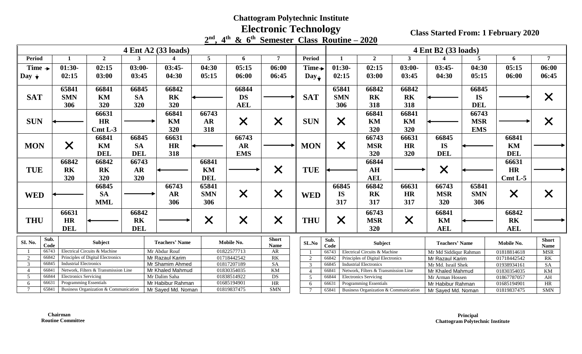# **Electronic Technology**

|                         |                                                                                                |                |            |                            |                 | $2nd$ , 4 <sup>th</sup> & $6th$ Semester Class Routine – 2020 |                 |                                                                    |                                      |                                                                            |                  |                            |             |                 |                   |
|-------------------------|------------------------------------------------------------------------------------------------|----------------|------------|----------------------------|-----------------|---------------------------------------------------------------|-----------------|--------------------------------------------------------------------|--------------------------------------|----------------------------------------------------------------------------|------------------|----------------------------|-------------|-----------------|-------------------|
|                         |                                                                                                |                |            | 4 Ent A2 (33 loads)        |                 |                                                               |                 |                                                                    |                                      |                                                                            |                  | 4 Ent B2 (33 loads)        |             |                 |                   |
| <b>Period</b>           | $\mathbf{1}$                                                                                   | $\overline{2}$ | 3          |                            | $5\overline{5}$ | 6                                                             | $7\overline{ }$ | <b>Period</b>                                                      | $\mathbf{1}$                         | $\overline{2}$                                                             | $\mathbf{3}$     |                            | 5           | 6               | $\overline{7}$    |
| Time $\rightarrow$      | $01:30-$                                                                                       | 02:15          | $03:00-$   | $03:45-$                   | 04:30           | 05:15                                                         | 06:00           | Time $\rightarrow$                                                 | $01:30-$                             | 02:15                                                                      | $03:00-$         | $03:45-$                   | 04:30       | 05:15           | 06:00             |
| Day $\star$             | 02:15                                                                                          | 03:00          | 03:45      | 04:30                      | 05:15           | 06:00                                                         | 06:45           | $Day_{\bigstar}$                                                   | 02:15                                | 03:00                                                                      | 03:45            | 04:30                      | 05:15       | 06:00           | 06:45             |
|                         |                                                                                                |                |            |                            |                 |                                                               |                 |                                                                    |                                      |                                                                            |                  |                            |             |                 |                   |
|                         | 65841                                                                                          | 66841<br>66845 |            | 66842                      |                 | 66844                                                         |                 |                                                                    | 65841                                | 66842                                                                      | 66842            |                            | 66845       |                 |                   |
| <b>SAT</b>              | <b>SMN</b><br>KM<br><b>SA</b><br><b>RK</b>                                                     |                |            |                            | <b>DS</b>       |                                                               | <b>SAT</b>      | <b>SMN</b>                                                         | <b>RK</b>                            | R <sub>K</sub>                                                             |                  | <b>IS</b>                  |             | $\times$        |                   |
|                         | 306                                                                                            | 320            | 320        | 320                        |                 | <b>AEL</b>                                                    |                 |                                                                    | 306                                  | 318                                                                        | 318              |                            | <b>DEL</b>  |                 |                   |
|                         |                                                                                                | 66631          |            | 66841                      | 66743           |                                                               |                 |                                                                    |                                      | 66841                                                                      | 66841            |                            | 66743       |                 |                   |
| <b>SUN</b>              |                                                                                                | <b>HR</b>      |            | KM                         | <b>AR</b>       | $\times$                                                      | $\times$        | <b>SUN</b>                                                         | $\times$                             | KM                                                                         | KM               |                            | <b>MSR</b>  |                 | $\times$          |
|                         |                                                                                                | $Cmt L-3$      |            | 320                        | 318             |                                                               |                 |                                                                    |                                      | 320                                                                        | 320              |                            | <b>EMS</b>  |                 |                   |
|                         |                                                                                                | 66841          | 66845      | 66631                      |                 | 66743                                                         |                 |                                                                    |                                      | 66743                                                                      | 66631            | 66845                      |             | 66841           |                   |
| <b>MON</b>              | $\bm{\mathsf{X}}$                                                                              | KM             | <b>SA</b>  | <b>HR</b>                  |                 | <b>AR</b>                                                     |                 | <b>MON</b>                                                         | $\times$                             | <b>MSR</b>                                                                 | <b>HR</b>        | <b>IS</b>                  |             | KM              |                   |
|                         |                                                                                                | <b>DEL</b>     | <b>DEL</b> | 318                        |                 | <b>EMS</b>                                                    |                 |                                                                    |                                      | 320                                                                        | 320              | <b>DEL</b>                 |             | <b>DEL</b>      |                   |
|                         | 66842                                                                                          | 66842          | 66743      |                            | 66841           |                                                               |                 |                                                                    |                                      | 66844                                                                      |                  |                            |             | 66631           |                   |
| <b>TUE</b>              | <b>RK</b>                                                                                      | <b>RK</b>      | <b>AR</b>  |                            | KM              |                                                               |                 | <b>TUE</b>                                                         |                                      | AH                                                                         |                  |                            |             | HR              |                   |
|                         | 320                                                                                            | 320            | 320        |                            | <b>DEL</b>      |                                                               | $\times$        |                                                                    |                                      | <b>AEL</b>                                                                 |                  | $\times$                   |             | $Cmt L-5$       |                   |
|                         |                                                                                                |                |            |                            |                 |                                                               |                 |                                                                    |                                      |                                                                            |                  |                            |             |                 |                   |
|                         |                                                                                                | 66845          |            | 66743                      | 65841           |                                                               |                 |                                                                    | 66845                                | 66842                                                                      | 66631            | 66743                      | 65841       |                 |                   |
| <b>WED</b>              |                                                                                                | <b>SA</b>      |            | <b>AR</b>                  | <b>SMN</b>      | $\times$                                                      | $\times$        | <b>WED</b>                                                         | <b>IS</b>                            | <b>RK</b>                                                                  | <b>HR</b>        | <b>MSR</b>                 | <b>SMN</b>  | $\times$        | $\bm{\mathsf{X}}$ |
|                         |                                                                                                | <b>MML</b>     |            | 306                        | 306             |                                                               |                 |                                                                    | 317                                  | 317                                                                        | 317              | 320                        | 306         |                 |                   |
|                         | 66631                                                                                          |                | 66842      |                            |                 |                                                               |                 |                                                                    |                                      | 66743                                                                      |                  | 66841                      |             | 66842           |                   |
| <b>THU</b>              | <b>HR</b>                                                                                      |                | <b>RK</b>  |                            | $\times$        | $\times$                                                      | $\times$        | <b>THU</b>                                                         | $\times$                             | <b>MSR</b>                                                                 | $\times$         | KM                         |             | <b>RK</b>       |                   |
|                         | <b>DEL</b>                                                                                     |                | <b>DEL</b> |                            |                 |                                                               |                 |                                                                    |                                      | 320                                                                        |                  | <b>AEL</b>                 |             | <b>AEL</b>      |                   |
| Sub.<br><b>SI. No.</b>  |                                                                                                |                |            |                            |                 |                                                               | <b>Short</b>    |                                                                    | Sub.                                 |                                                                            |                  |                            |             |                 | <b>Short</b>      |
|                         | Subject<br><b>Teachers' Name</b><br>Code                                                       |                |            | Mobile No.                 | Name            | SL.No                                                         | Code            | Subject                                                            |                                      | <b>Teachers' Name</b>                                                      |                  | Mobile No.                 | <b>Name</b> |                 |                   |
|                         | Electrical Circuits & Machine<br>66743<br>Mr Abdur Rouf                                        |                |            | 01822577713<br>01718442542 | AR<br>RK        |                                                               | 66743           | Electrical Circuits & Machine                                      |                                      | Mr Md Siddiqur Rahman                                                      |                  | 01818814618                | <b>MSR</b>  |                 |                   |
| 3                       | 66842<br>Principles of Digital Electronics<br>Mr Razaul Karim<br><b>Industrial Electronics</b> |                |            | 01817207189                | SA              | 2<br>$\overline{3}$                                           | 66842<br>66845  | Principles of Digital Electronics<br><b>Industrial Electronics</b> |                                      | Mr Razaul Karim<br>Mr Md. Israil Shek                                      |                  | 01718442542<br>01938934161 | RK<br>SA    |                 |                   |
|                         | 66845<br>Mr Shamim Ahmed<br>66841<br>Network, Filters & Transmission Line<br>Mr Khaled Mahmud  |                |            |                            | 01830354035     | <b>KM</b>                                                     | $\overline{A}$  | 66841                                                              | Network, Filters & Transmission Line |                                                                            | Mr Khaled Mahmud |                            | 01830354035 | $\overline{KM}$ |                   |
| 66844<br>$\overline{5}$ | <b>Electronics Servicing</b>                                                                   |                |            | Mr Dalim Saha              |                 | 01838514922                                                   | DS              | .5                                                                 | 66844                                | <b>Electronics Servicing</b>                                               |                  | Mr Arman Hossen            |             | 01867787057     | AH                |
| 66631<br>-6             | Programming Essentials                                                                         |                |            | Mr Habibur Rahman          |                 | 01685194901<br>HR                                             |                 | 6                                                                  | Programming Essentials<br>66631      |                                                                            |                  | Mr Habibur Rahman          |             | 01685194901     | HR                |
|                         | 65841<br>Business Organization & Communication<br>Mr Sayed Md. Noman                           |                |            |                            |                 | <b>SMN</b><br>01819837475                                     |                 |                                                                    | 65841                                | Business Organization & Communication<br>Mr Sayed Md. Noman<br>01819837475 |                  |                            |             |                 | <b>SMN</b>        |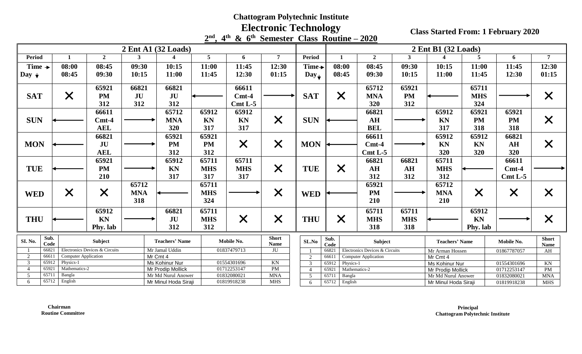**Electronic Technology**

|                                  |               |               |                                |            |                                            |                |                            | $2nd$ , 4 <sup>th</sup> & $6th$ Semester Class Routine – 2020 |                     |                                     |                                |                |                                  |                   |                            |                      |
|----------------------------------|---------------|---------------|--------------------------------|------------|--------------------------------------------|----------------|----------------------------|---------------------------------------------------------------|---------------------|-------------------------------------|--------------------------------|----------------|----------------------------------|-------------------|----------------------------|----------------------|
|                                  |               |               |                                |            | $2 \text{ Ent } A1$ (32 Loads)             |                |                            |                                                               |                     |                                     |                                |                | 2 Ent B1 (32 Loads)              |                   |                            |                      |
| <b>Period</b>                    |               |               | $\overline{2}$                 | 3          |                                            | 5 <sup>5</sup> | 6                          | $\overline{7}$                                                | Period              | $\mathbf{1}$                        | $\overline{2}$                 | 3 <sup>1</sup> |                                  | 5                 | 6                          | 7 <sup>7</sup>       |
| Time $\rightarrow$               | 08:00         |               | 08:45                          | 09:30      | 10:15                                      | 11:00          | 11:45                      | 12:30                                                         | Time $\rightarrow$  | 08:00                               | 08:45                          | 09:30          | 10:15                            | 11:00             | 11:45                      | 12:30                |
| Day $\downarrow$                 | 08:45         |               | 09:30                          | 10:15      | 11:00                                      | 11:45          | 12:30                      | 01:15                                                         | $Day_{\rightarrow}$ | 08:45                               | 09:30                          | 10:15          | 11:00                            | 11:45             | 12:30                      | 01:15                |
|                                  |               |               | 65921                          | 66821      | 66821                                      |                | 66611                      |                                                               |                     |                                     | 65712                          | 65921          |                                  | 65711             |                            |                      |
| <b>SAT</b>                       | $\times$      |               | <b>PM</b>                      | JU         | JU                                         |                | $Cmt-4$                    |                                                               | <b>SAT</b>          | $\times$                            | <b>MNA</b>                     | <b>PM</b>      |                                  | <b>MHS</b>        |                            | $\times$             |
|                                  |               |               | 312                            | 312        | 312                                        |                | $Cmt L-5$                  |                                                               |                     |                                     | 320                            | 312            |                                  | 324               |                            |                      |
|                                  |               |               | 66611                          |            | 65712                                      | 65912          | 65912                      |                                                               |                     |                                     | 66821                          |                | 65912                            | 65921             | 65921                      |                      |
| <b>SUN</b>                       |               |               | $Cmt-4$                        |            | <b>MNA</b>                                 | <b>KN</b>      | KN                         | $\bm{\times}$                                                 | <b>SUN</b>          |                                     | AH                             |                | <b>KN</b>                        | <b>PM</b>         | PM                         | $\times$             |
|                                  |               |               | <b>AEL</b>                     |            | 320                                        | 317            | 317                        |                                                               |                     |                                     | <b>BEL</b>                     |                | 317                              | 318               | 318                        |                      |
|                                  |               |               | 66821                          |            | 65921                                      | 65921          |                            |                                                               |                     |                                     | 66611                          |                | 65912                            | 65912             | 66821                      |                      |
| <b>MON</b>                       |               |               | JU                             |            | <b>PM</b>                                  | <b>PM</b>      | $\times$                   | $\times$                                                      | <b>MON</b>          |                                     | $Cmt-4$                        |                | <b>KN</b>                        | KN                | AH                         | $\times$             |
|                                  |               |               | <b>AEL</b>                     |            | 312                                        | 312            |                            |                                                               |                     |                                     | $Cmt L-5$                      |                | 320                              | 320               | 320                        |                      |
|                                  |               |               | 65921                          |            | 65912                                      | 65711          | 65711                      |                                                               |                     |                                     | 66821                          | 66821          | 65711                            |                   | 66611                      |                      |
| <b>TUE</b>                       |               |               | <b>PM</b>                      |            | <b>KN</b>                                  | <b>MHS</b>     | <b>MHS</b>                 | $\times$                                                      | <b>TUE</b>          | $\times$                            | AH                             | AH             | <b>MHS</b>                       |                   | $Cmt-4$                    |                      |
|                                  |               |               | 210                            |            | 317                                        | 317            | 317                        |                                                               |                     |                                     | 312                            | 312            | 312                              |                   | $Cmt L-5$                  |                      |
|                                  |               |               |                                | 65712      |                                            | 65711          |                            |                                                               |                     |                                     | 65921                          |                | 65712                            |                   |                            |                      |
| <b>WED</b>                       | X             |               | X                              | <b>MNA</b> |                                            | <b>MHS</b>     |                            | $\times$                                                      | <b>WED</b>          |                                     | <b>PM</b>                      |                | <b>MNA</b>                       | $\bm{\mathsf{X}}$ | $\times$                   | X                    |
|                                  |               |               |                                | 318        |                                            | 324            |                            |                                                               |                     |                                     | 210                            |                | 210                              |                   |                            |                      |
|                                  |               |               | 65912                          |            | 66821                                      | 65711          |                            |                                                               |                     |                                     | 65711                          | 65711          |                                  | 65912             |                            |                      |
| <b>THU</b>                       |               |               | KN                             |            | JU                                         | <b>MHS</b>     | $\times$                   | $\bm{\mathsf{X}}$                                             | <b>THU</b>          | $\times$                            | <b>MHS</b>                     | <b>MHS</b>     |                                  | <b>KN</b>         |                            | $\times$             |
|                                  |               |               | Phy. lab                       |            | 312                                        | 312            |                            |                                                               |                     |                                     | 318                            | 318            |                                  | Phy. lab          |                            |                      |
| Sub.<br>SI. No.<br>Code          |               |               | Subject                        |            | <b>Teachers' Name</b>                      |                | Mobile No.                 | <b>Short</b><br>Name                                          | SL.No               | Sub.<br>Code                        | Subject                        |                | <b>Teachers' Name</b>            |                   | Mobile No.                 | <b>Short</b><br>Name |
| 66821                            |               |               | Electronics Devices & Circuits |            | Mr Jamal Uddin                             |                | 01837479713                | JU                                                            |                     | 66821                               | Electronics Devices & Circuits |                | Mr Arman Hossen                  |                   | 01867787057                | AH                   |
| 2<br>66611                       |               |               | <b>Computer Application</b>    |            | Mr Cmt 4                                   |                |                            |                                                               | 2                   | 6661                                | <b>Computer Application</b>    |                | Mr Cmt 4                         |                   |                            |                      |
| 65912<br>$\overline{3}$          | Physics-1     |               |                                |            | Ms Kohinur Nur                             |                | 01554301696                | KN                                                            | 3                   | Physics-1<br>65912                  |                                |                | Ms Kohinur Nur                   |                   | 01554301696                | KN                   |
| 65921<br>$\overline{4}$<br>65711 | Bangla        | Mathematics-2 |                                |            | Mr Prodip Mollick                          |                | 01712253147                | PM<br><b>MNA</b>                                              |                     | 6592                                | Mathematics-2                  |                | 01712253147<br>Mr Prodip Mollick |                   |                            | PM                   |
| $\overline{5}$<br>6              | 65712 English |               |                                |            | Mr Md Nurul Anower<br>Mr Minul Hoda Siraji |                | 01832080021<br>01819918238 |                                                               | 5                   | 65711<br>Bangla<br>65712<br>English |                                |                | Mr Md Nurul Anower               |                   | 01832080021<br>01819918238 | <b>MNA</b>           |
|                                  |               |               |                                |            |                                            |                |                            | <b>MHS</b>                                                    | 6                   |                                     |                                |                | Mr Minul Hoda Siraji             |                   |                            | <b>MHS</b>           |